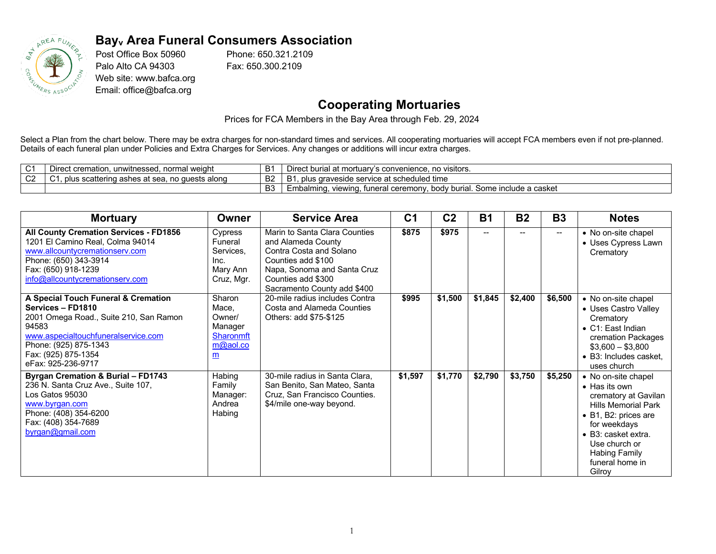

## **Bayv Area Funeral Consumers Association**

Post Office Box 50960 Palo Alto CA 94303 Web site: www.bafca.org Email: office@bafca.org

Phone: 650.321.2109 Fax: 650.300.2109

## **Cooperating Mortuaries**

Prices for FCA Members in the Bay Area through Feb. 29, 2024

Select a Plan from the chart below. There may be extra charges for non-standard times and services. All cooperating mortuaries will accept FCA members even if not pre-planned. Details of each funeral plan under Policies and Extra Charges for Services. Any changes or additions will incur extra charges.

| $\sim$<br>$\mathbf{\ddot{v}}$ | normal weight<br>unwitnessed<br>Direct cremation.                                                     | B        | . no visitors.<br>* buria.<br>s convenience.                                                                |
|-------------------------------|-------------------------------------------------------------------------------------------------------|----------|-------------------------------------------------------------------------------------------------------------|
| $\sim$<br>◡∠                  | s alono<br>∍ , , plus sca <b>m</b><br>i scattering ashes at sea.<br>$I \triangle C$<br>no<br>iuesis d | D.<br>DZ | ≅at scheduled time<br>iraveside service at :<br><u>.</u>                                                    |
|                               |                                                                                                       | r.<br>◡  | . Some include a casket<br>/ burial.<br>Embalmınd.<br>tuneral ceremonv<br>hor'<br>11031108<br>viewi<br>i iu |

| <b>Mortuary</b>                                                                                                                                                                                                          | Owner                                                                                   | <b>Service Area</b>                                                                                                                                                                      | C <sub>1</sub> | C <sub>2</sub> | <b>B1</b> | <b>B2</b>                | <b>B3</b> | <b>Notes</b>                                                                                                                                                                                                                     |
|--------------------------------------------------------------------------------------------------------------------------------------------------------------------------------------------------------------------------|-----------------------------------------------------------------------------------------|------------------------------------------------------------------------------------------------------------------------------------------------------------------------------------------|----------------|----------------|-----------|--------------------------|-----------|----------------------------------------------------------------------------------------------------------------------------------------------------------------------------------------------------------------------------------|
| All County Cremation Services - FD1856<br>1201 El Camino Real, Colma 94014<br>www.allcountycremationserv.com<br>Phone: (650) 343-3914<br>Fax: (650) 918-1239<br>info@allcountycremationserv.com                          | Cypress<br>Funeral<br>Services.<br>Inc.<br>Mary Ann<br>Cruz, Mgr.                       | Marin to Santa Clara Counties<br>and Alameda County<br>Contra Costa and Solano<br>Counties add \$100<br>Napa, Sonoma and Santa Cruz<br>Counties add \$300<br>Sacramento County add \$400 | \$875          | \$975          | --        | $\overline{\phantom{a}}$ | $-$       | • No on-site chapel<br>• Uses Cypress Lawn<br>Crematory                                                                                                                                                                          |
| A Special Touch Funeral & Cremation<br>Services - FD1810<br>2001 Omega Road., Suite 210, San Ramon<br>94583<br>www.aspecialtouchfuneralservice.com<br>Phone: (925) 875-1343<br>Fax: (925) 875-1354<br>eFax: 925-236-9717 | Sharon<br>Mace,<br>Owner/<br>Manager<br><b>Sharonmft</b><br>m@aol.co<br>$\underline{m}$ | 20-mile radius includes Contra<br>Costa and Alameda Counties<br>Others: add \$75-\$125                                                                                                   | \$995          | \$1,500        | \$1,845   | \$2,400                  | \$6,500   | • No on-site chapel<br>• Uses Castro Valley<br>Crematory<br>• C1: East Indian<br>cremation Packages<br>$$3,600 - $3,800$<br>• B3: Includes casket.<br>uses church                                                                |
| <b>Byrgan Cremation &amp; Burial - FD1743</b><br>236 N. Santa Cruz Ave., Suite 107,<br>Los Gatos 95030<br>www.byrgan.com<br>Phone: (408) 354-6200<br>Fax: (408) 354-7689<br>byrgan@gmail.com                             | Habing<br>Family<br>Manager:<br>Andrea<br>Habing                                        | 30-mile radius in Santa Clara,<br>San Benito, San Mateo, Santa<br>Cruz, San Francisco Counties.<br>\$4/mile one-way beyond.                                                              | \$1,597        | \$1,770        | \$2,790   | \$3,750                  | \$5,250   | • No on-site chapel<br>$\bullet$ Has its own<br>crematory at Gavilan<br><b>Hills Memorial Park</b><br>• B1, B2: prices are<br>for weekdays<br>• B3: casket extra.<br>Use church or<br>Habing Family<br>funeral home in<br>Gilroy |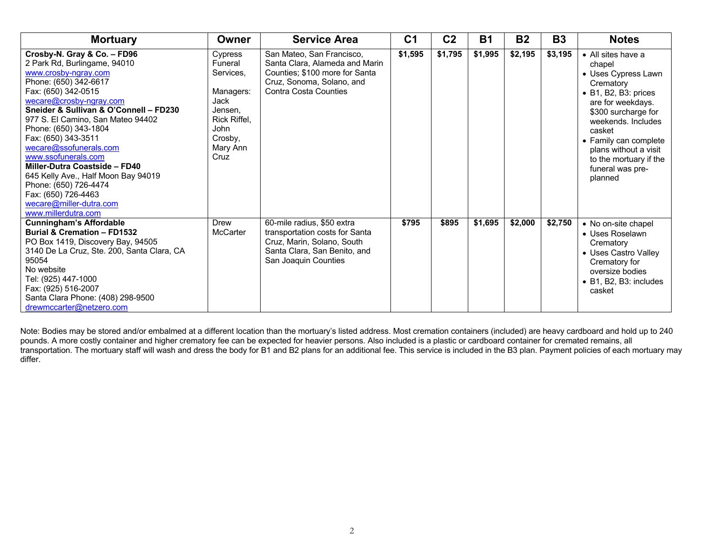| <b>Mortuary</b>                                                                                                                                                                                                                                                                                                                                                                                                                                                                                                          | <b>Owner</b>                                                                                                                  | <b>Service Area</b>                                                                                                                                 |         | C <sub>2</sub> | <b>B1</b> | <b>B2</b> | <b>B3</b> | <b>Notes</b>                                                                                                                                                                                                                                                                    |
|--------------------------------------------------------------------------------------------------------------------------------------------------------------------------------------------------------------------------------------------------------------------------------------------------------------------------------------------------------------------------------------------------------------------------------------------------------------------------------------------------------------------------|-------------------------------------------------------------------------------------------------------------------------------|-----------------------------------------------------------------------------------------------------------------------------------------------------|---------|----------------|-----------|-----------|-----------|---------------------------------------------------------------------------------------------------------------------------------------------------------------------------------------------------------------------------------------------------------------------------------|
| Crosby-N. Gray & Co. - FD96<br>2 Park Rd, Burlingame, 94010<br>www.crosby-ngray.com<br>Phone: (650) 342-6617<br>Fax: (650) 342-0515<br>wecare@crosby-ngray.com<br>Sneider & Sullivan & O'Connell - FD230<br>977 S. El Camino, San Mateo 94402<br>Phone: (650) 343-1804<br>Fax: (650) 343-3511<br>wecare@ssofunerals.com<br>www.ssofunerals.com<br>Miller-Dutra Coastside - FD40<br>645 Kelly Ave., Half Moon Bay 94019<br>Phone: (650) 726-4474<br>Fax: (650) 726-4463<br>wecare@miller-dutra.com<br>www.millerdutra.com | Cypress<br>Funeral<br>Services,<br>Managers:<br><b>Jack</b><br>Jensen.<br>Rick Riffel.<br>John<br>Crosby,<br>Mary Ann<br>Cruz | San Mateo, San Francisco,<br>Santa Clara, Alameda and Marin<br>Counties; \$100 more for Santa<br>Cruz, Sonoma, Solano, and<br>Contra Costa Counties | \$1,595 | \$1,795        | \$1,995   | \$2,195   | \$3,195   | • All sites have a<br>chapel<br>• Uses Cypress Lawn<br>Crematory<br>• B1, B2, B3: prices<br>are for weekdays.<br>\$300 surcharge for<br>weekends. Includes<br>casket<br>• Family can complete<br>plans without a visit<br>to the mortuary if the<br>funeral was pre-<br>planned |
| <b>Cunningham's Affordable</b><br><b>Burial &amp; Cremation - FD1532</b><br>PO Box 1419, Discovery Bay, 94505<br>3140 De La Cruz, Ste. 200, Santa Clara, CA<br>95054<br>No website<br>Tel: (925) 447-1000<br>Fax: (925) 516-2007<br>Santa Clara Phone: (408) 298-9500<br>drewmccarter@netzero.com                                                                                                                                                                                                                        | Drew<br>McCarter                                                                                                              | 60-mile radius, \$50 extra<br>transportation costs for Santa<br>Cruz, Marin, Solano, South<br>Santa Clara, San Benito, and<br>San Joaquin Counties  | \$795   | \$895          | \$1,695   | \$2,000   | \$2,750   | • No on-site chapel<br>• Uses Roselawn<br>Crematory<br>• Uses Castro Valley<br>Crematory for<br>oversize bodies<br>• B1, B2, B3: includes<br>casket                                                                                                                             |

Note: Bodies may be stored and/or embalmed at a different location than the mortuary's listed address. Most cremation containers (included) are heavy cardboard and hold up to 240 pounds. A more costly container and higher crematory fee can be expected for heavier persons. Also included is a plastic or cardboard container for cremated remains, all transportation. The mortuary staff will wash and dress the body for B1 and B2 plans for an additional fee. This service is included in the B3 plan. Payment policies of each mortuary may differ.